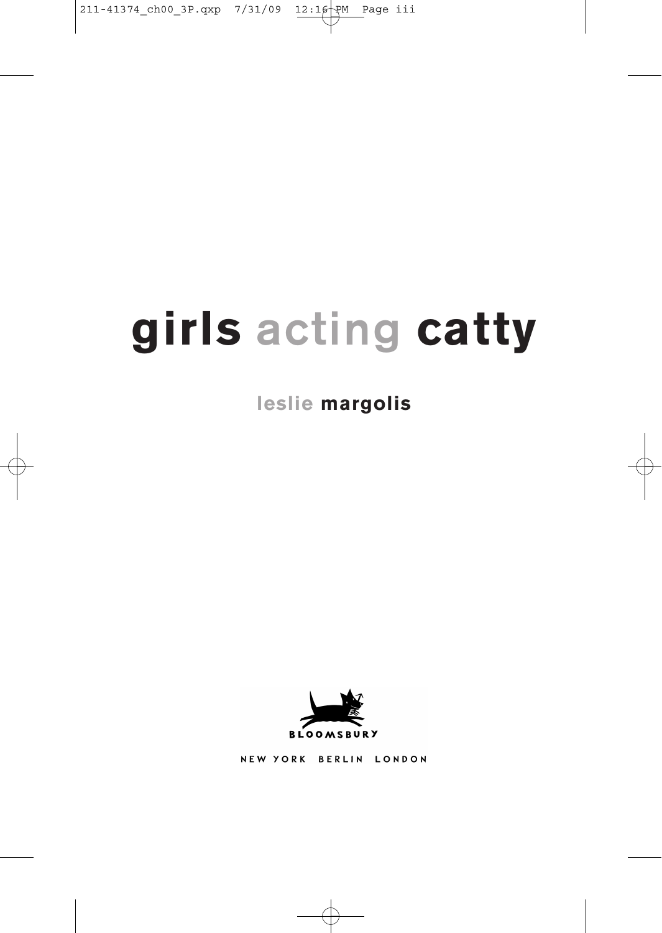## **girls acting catty**

## **leslie margolis**



NEW YORK BERLIN LONDON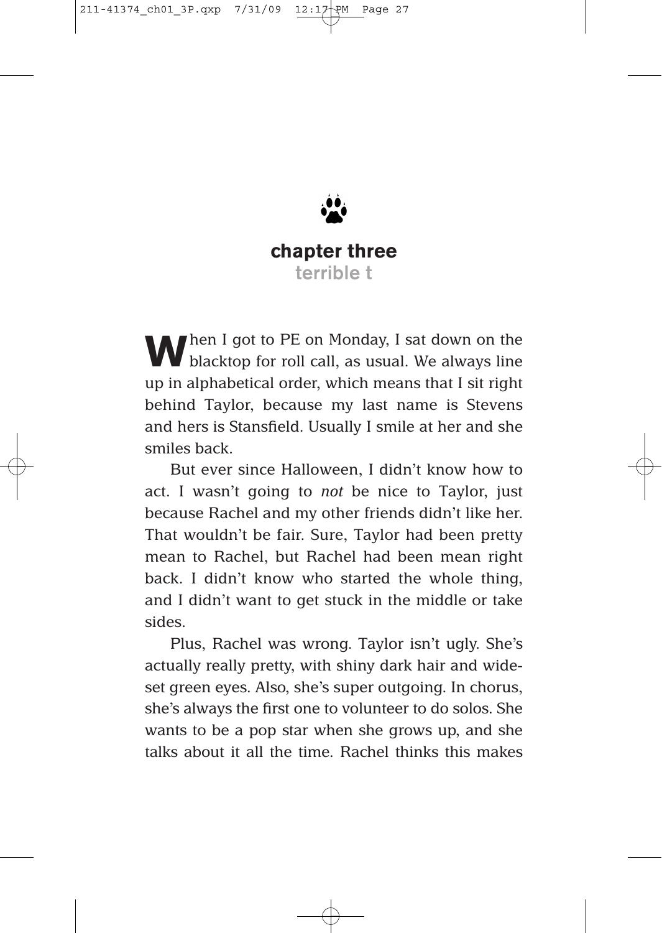

When I got to PE on Monday, I sat down on the blacktop for roll call, as usual. We always line up in alphabetical order, which means that I sit right behind Taylor, because my last name is Stevens and hers is Stansfield. Usually I smile at her and she smiles back.

But ever since Halloween, I didn't know how to act. I wasn't going to *not* be nice to Taylor, just because Rachel and my other friends didn't like her. That wouldn't be fair. Sure, Taylor had been pretty mean to Rachel, but Rachel had been mean right back. I didn't know who started the whole thing, and I didn't want to get stuck in the middle or take sides.

Plus, Rachel was wrong. Taylor isn't ugly. She's actually really pretty, with shiny dark hair and wideset green eyes. Also, she's super outgoing. In chorus, she's always the first one to volunteer to do solos. She wants to be a pop star when she grows up, and she talks about it all the time. Rachel thinks this makes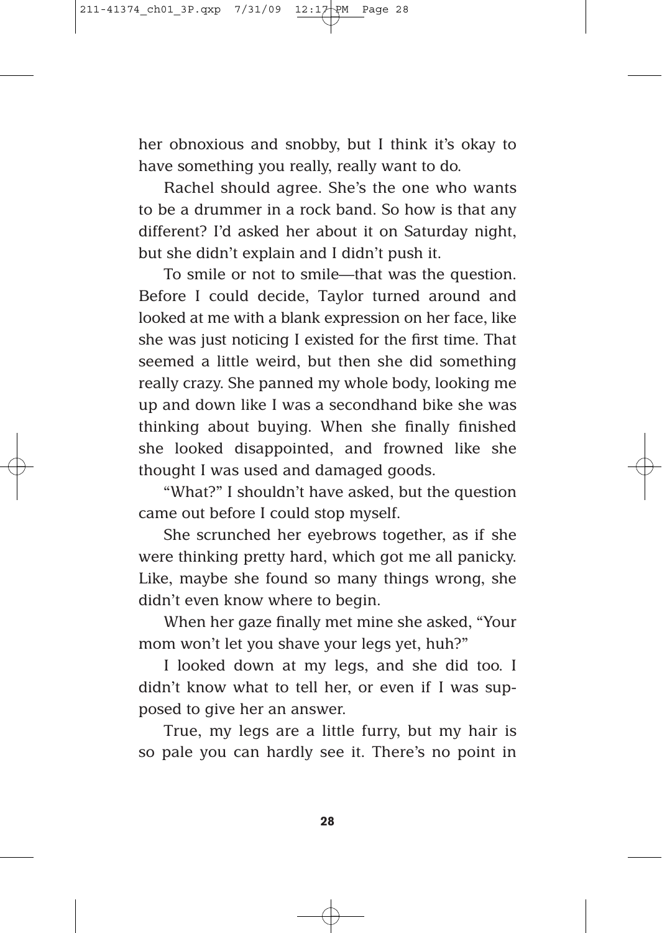her obnoxious and snobby, but I think it's okay to have something you really, really want to do.

Rachel should agree. She's the one who wants to be a drummer in a rock band. So how is that any different? I'd asked her about it on Saturday night, but she didn't explain and I didn't push it.

To smile or not to smile— that was the question. Before I could decide, Taylor turned around and looked at me with a blank expression on her face, like she was just noticing I existed for the first time. That seemed a little weird, but then she did something really crazy. She panned my whole body, looking me up and down like I was a secondhand bike she was thinking about buying. When she finally finished she looked disappointed, and frowned like she thought I was used and damaged goods.

"What?" I shouldn't have asked, but the question came out before I could stop myself.

She scrunched her eyebrows together, as if she were thinking pretty hard, which got me all panicky. Like, maybe she found so many things wrong, she didn't even know where to begin.

When her gaze finally met mine she asked, "Your mom won't let you shave your legs yet, huh?"

I looked down at my legs, and she did too. I didn't know what to tell her, or even if I was supposed to give her an answer.

True, my legs are a little furry, but my hair is so pale you can hardly see it. There's no point in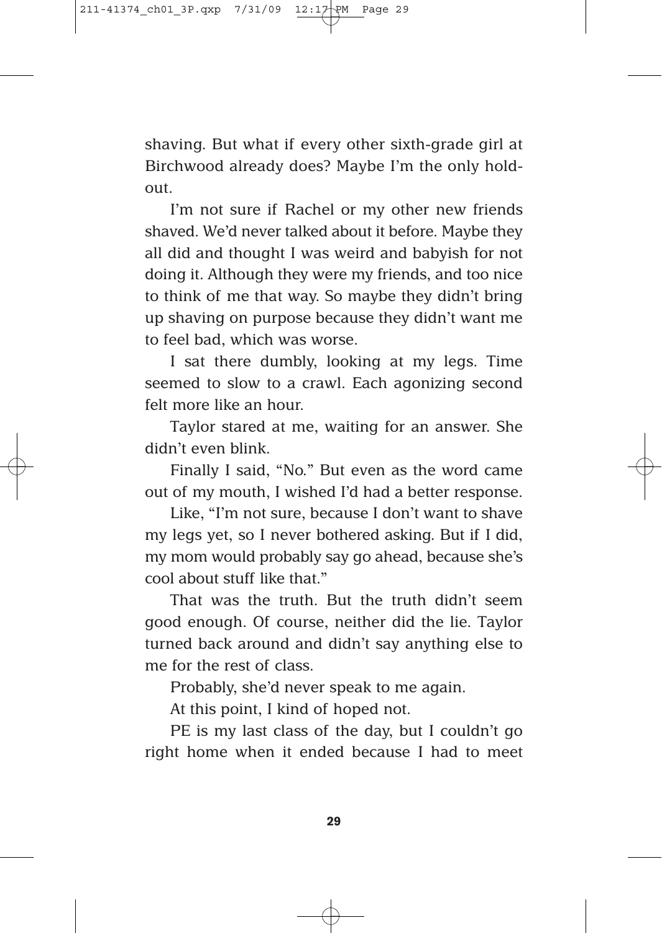shaving. But what if every other sixth-grade girl at Birchwood already does? Maybe I'm the only holdout.

I'm not sure if Rachel or my other new friends shaved. We'd never talked about it before. Maybe they all did and thought I was weird and babyish for not doing it. Although they were my friends, and too nice to think of me that way. So maybe they didn't bring up shaving on purpose because they didn't want me to feel bad, which was worse.

I sat there dumbly, looking at my legs. Time seemed to slow to a crawl. Each agonizing second felt more like an hour.

Taylor stared at me, waiting for an answer. She didn't even blink.

Finally I said, "No." But even as the word came out of my mouth, I wished I'd had a better response.

Like, "I'm not sure, because I don't want to shave my legs yet, so I never bothered asking. But if I did, my mom would probably say go ahead, because she's cool about stuff like that."

That was the truth. But the truth didn't seem good enough. Of course, neither did the lie. Taylor turned back around and didn't say anything else to me for the rest of class.

Probably, she'd never speak to me again.

At this point, I kind of hoped not.

PE is my last class of the day, but I couldn't go right home when it ended because I had to meet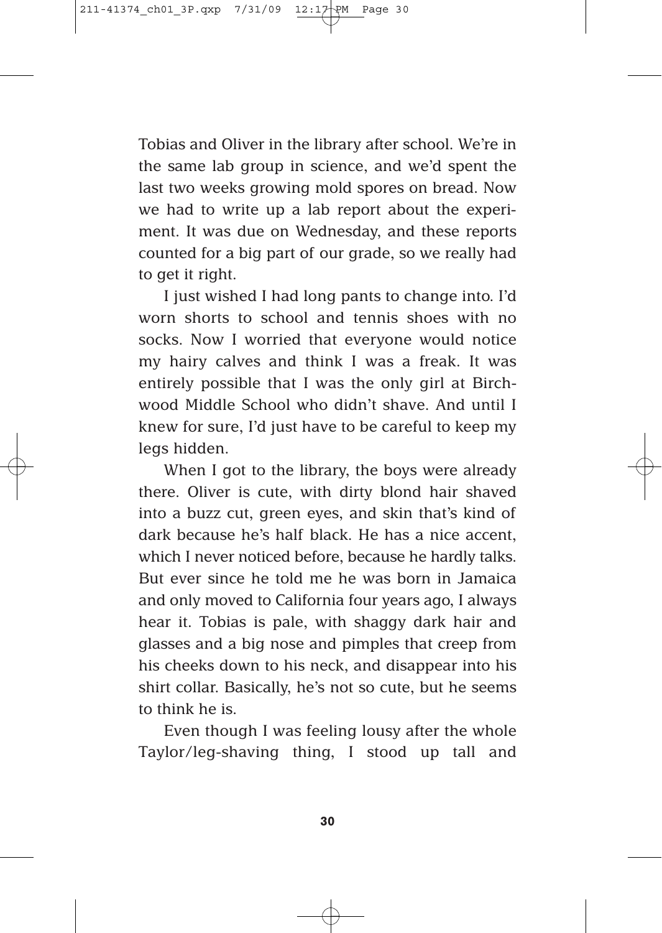Tobias and Oliver in the library after school. We're in the same lab group in science, and we'd spent the last two weeks growing mold spores on bread. Now we had to write up a lab report about the experiment. It was due on Wednesday, and these reports counted for a big part of our grade, so we really had to get it right.

I just wished I had long pants to change into. I'd worn shorts to school and tennis shoes with no socks. Now I worried that everyone would notice my hairy calves and think I was a freak. It was entirely possible that I was the only girl at Birchwood Middle School who didn't shave. And until I knew for sure, I'd just have to be careful to keep my legs hidden.

When I got to the library, the boys were already there. Oliver is cute, with dirty blond hair shaved into a buzz cut, green eyes, and skin that's kind of dark because he's half black. He has a nice accent, which I never noticed before, because he hardly talks. But ever since he told me he was born in Jamaica and only moved to California four years ago, I always hear it. Tobias is pale, with shaggy dark hair and glasses and a big nose and pimples that creep from his cheeks down to his neck, and disappear into his shirt collar. Basically, he's not so cute, but he seems to think he is.

Even though I was feeling lousy after the whole Taylor/leg-shaving thing, I stood up tall and

**30**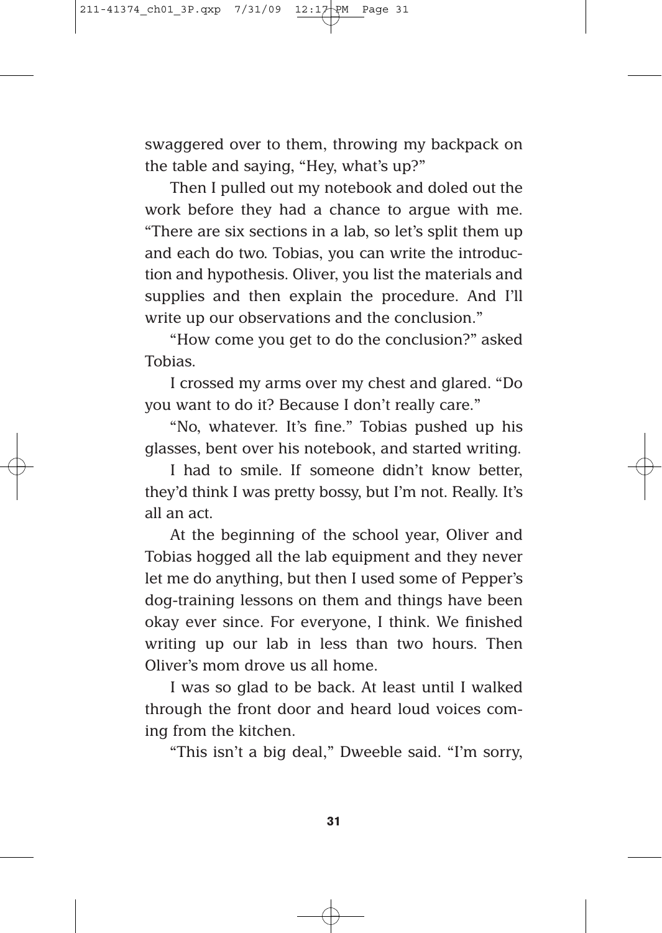swaggered over to them, throwing my backpack on the table and saying, "Hey, what's up?"

Then I pulled out my notebook and doled out the work before they had a chance to argue with me. "There are six sections in a lab, so let's split them up and each do two. Tobias, you can write the introduction and hypothesis. Oliver, you list the materials and supplies and then explain the procedure. And I'll write up our observations and the conclusion."

"How come you get to do the conclusion?" asked Tobias.

I crossed my arms over my chest and glared. "Do you want to do it? Because I don't really care."

"No, whatever. It's fine." Tobias pushed up his glasses, bent over his notebook, and started writing.

I had to smile. If someone didn't know better, they'd think I was pretty bossy, but I'm not. Really. It's all an act.

At the beginning of the school year, Oliver and Tobias hogged all the lab equipment and they never let me do anything, but then I used some of Pepper's dog- training lessons on them and things have been okay ever since. For everyone, I think. We finished writing up our lab in less than two hours. Then Oliver's mom drove us all home.

I was so glad to be back. At least until I walked through the front door and heard loud voices coming from the kitchen.

"This isn't a big deal," Dweeble said. "I'm sorry,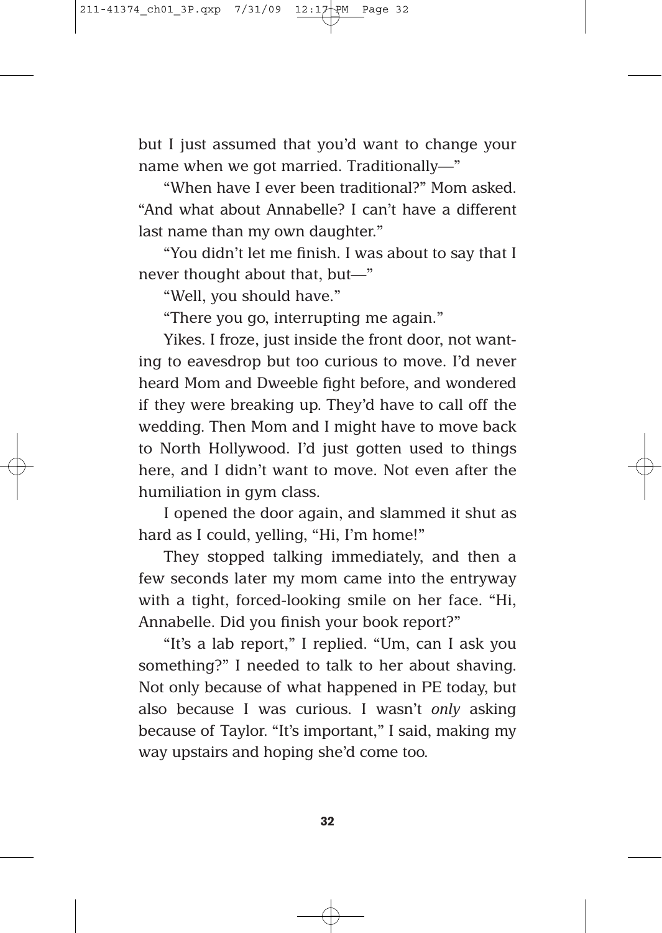but I just assumed that you'd want to change your name when we got married. Traditionally—"

"When have I ever been traditional?" Mom asked. "And what about Annabelle? I can't have a different last name than my own daughter."

"You didn't let me finish. I was about to say that I never thought about that, but—"

"Well, you should have."

"There you go, interrupting me again."

Yikes. I froze, just inside the front door, not wanting to eavesdrop but too curious to move. I'd never heard Mom and Dweeble fight before, and wondered if they were breaking up. They'd have to call off the wedding. Then Mom and I might have to move back to North Hollywood. I'd just gotten used to things here, and I didn't want to move. Not even after the humiliation in gym class.

I opened the door again, and slammed it shut as hard as I could, yelling, "Hi, I'm home!"

They stopped talking immediately, and then a few seconds later my mom came into the entryway with a tight, forced-looking smile on her face. "Hi, Annabelle. Did you finish your book report?"

"It's a lab report," I replied. "Um, can I ask you something?" I needed to talk to her about shaving. Not only because of what happened in PE today, but also because I was curious. I wasn't *only* asking because of Taylor. "It's important," I said, making my way upstairs and hoping she'd come too.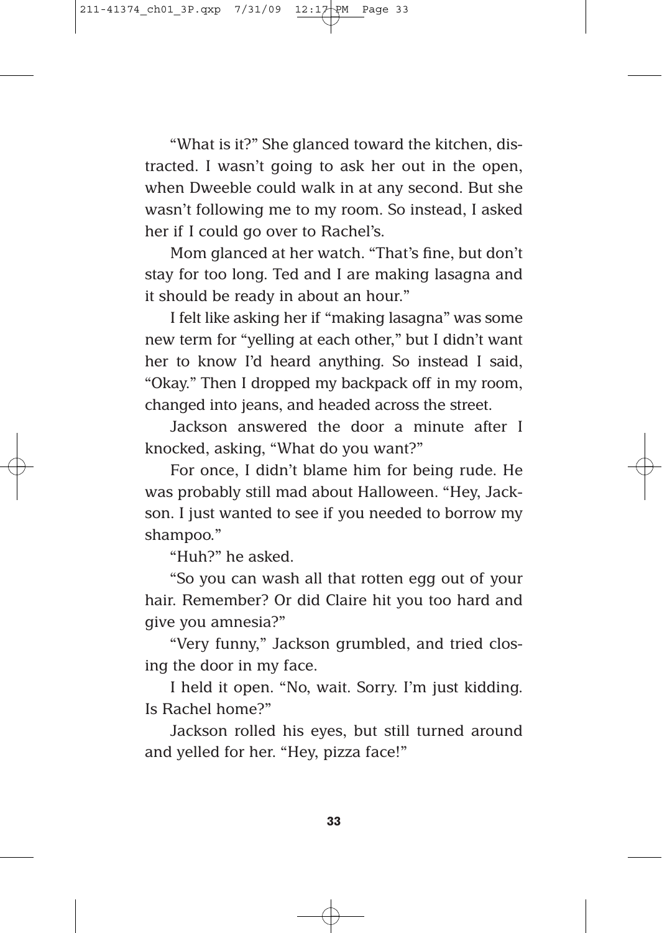"What is it?" She glanced toward the kitchen, distracted. I wasn't going to ask her out in the open, when Dweeble could walk in at any second. But she wasn't following me to my room. So instead, I asked her if I could go over to Rachel's.

Mom glanced at her watch. "That's fine, but don't stay for too long. Ted and I are making lasagna and it should be ready in about an hour."

I felt like asking her if "making lasagna" was some new term for "yelling at each other," but I didn't want her to know I'd heard anything. So instead I said, "Okay." Then I dropped my backpack off in my room, changed into jeans, and headed across the street.

Jackson answered the door a minute after I knocked, asking, "What do you want?"

For once, I didn't blame him for being rude. He was probably still mad about Halloween. "Hey, Jackson. I just wanted to see if you needed to borrow my shampoo."

"Huh?" he asked.

"So you can wash all that rotten egg out of your hair. Remember? Or did Claire hit you too hard and give you amnesia?"

"Very funny," Jackson grumbled, and tried closing the door in my face.

I held it open. "No, wait. Sorry. I'm just kidding. Is Rachel home?"

Jackson rolled his eyes, but still turned around and yelled for her. "Hey, pizza face!"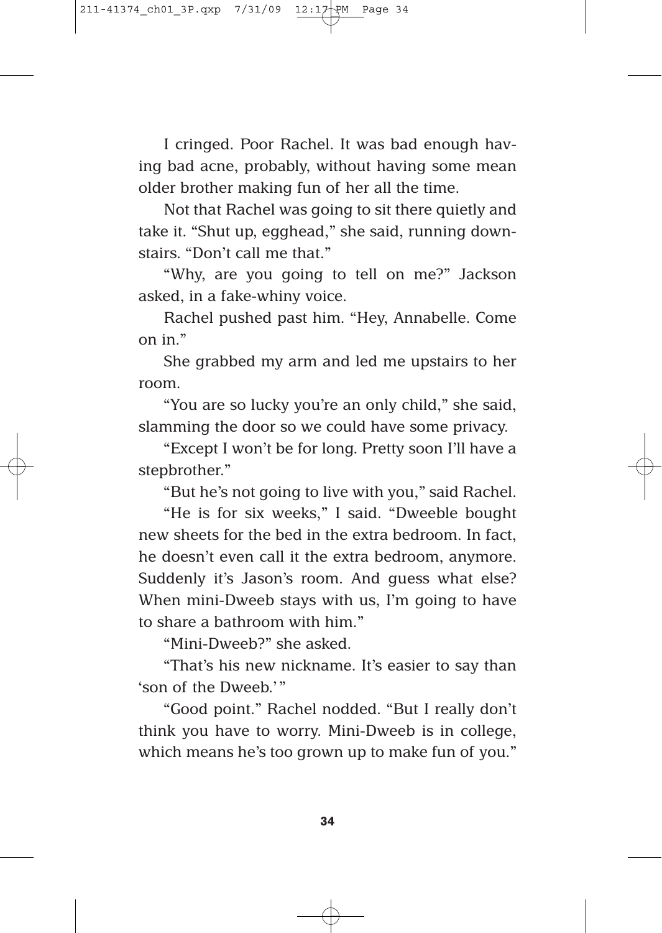I cringed. Poor Rachel. It was bad enough having bad acne, probably, without having some mean older brother making fun of her all the time.

Not that Rachel was going to sit there quietly and take it. "Shut up, egghead," she said, running downstairs. "Don't call me that."

"Why, are you going to tell on me?" Jackson asked, in a fake-whiny voice.

Rachel pushed past him. "Hey, Annabelle. Come on in."

She grabbed my arm and led me upstairs to her room.

"You are so lucky you're an only child," she said, slamming the door so we could have some privacy.

"Except I won't be for long. Pretty soon I'll have a stepbrother."

"But he's not going to live with you," said Rachel.

"He is for six weeks," I said. "Dweeble bought new sheets for the bed in the extra bedroom. In fact, he doesn't even call it the extra bedroom, anymore. Suddenly it's Jason's room. And guess what else? When mini-Dweeb stays with us, I'm going to have to share a bathroom with him."

"Mini-Dweeb?" she asked.

"That's his new nickname. It's easier to say than 'son of the Dweeb.'"

"Good point." Rachel nodded. "But I really don't think you have to worry. Mini- Dweeb is in college, which means he's too grown up to make fun of you."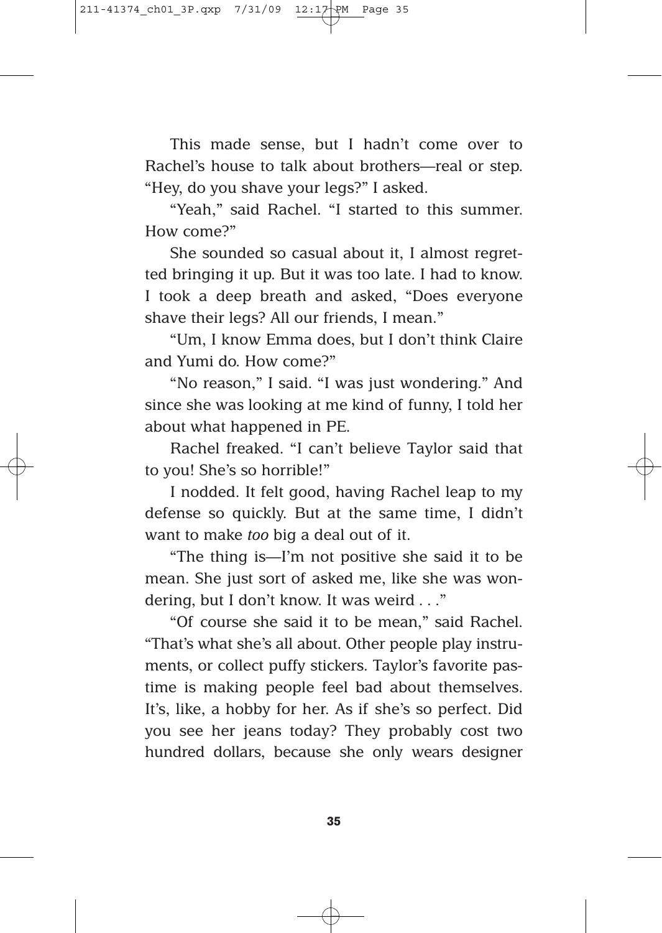This made sense, but I hadn't come over to Rachel's house to talk about brothers— real or step. "Hey, do you shave your legs?" I asked.

"Yeah," said Rachel. "I started to this summer. How come?"

She sounded so casual about it, I almost regretted bringing it up. But it was too late. I had to know. I took a deep breath and asked, "Does everyone shave their legs? All our friends, I mean."

"Um, I know Emma does, but I don't think Claire and Yumi do. How come?"

"No reason," I said. "I was just wondering." And since she was looking at me kind of funny, I told her about what happened in PE.

Rachel freaked. "I can't believe Taylor said that to you! She's so horrible!"

I nodded. It felt good, having Rachel leap to my defense so quickly. But at the same time, I didn't want to make *too* big a deal out of it.

"The thing is— I'm not positive she said it to be mean. She just sort of asked me, like she was wondering, but I don't know. It was weird . . ."

"Of course she said it to be mean," said Rachel. "That's what she's all about. Other people play instruments, or collect puffy stickers. Taylor's favorite pastime is making people feel bad about themselves. It's, like, a hobby for her. As if she's so perfect. Did you see her jeans today? They probably cost two hundred dollars, because she only wears designer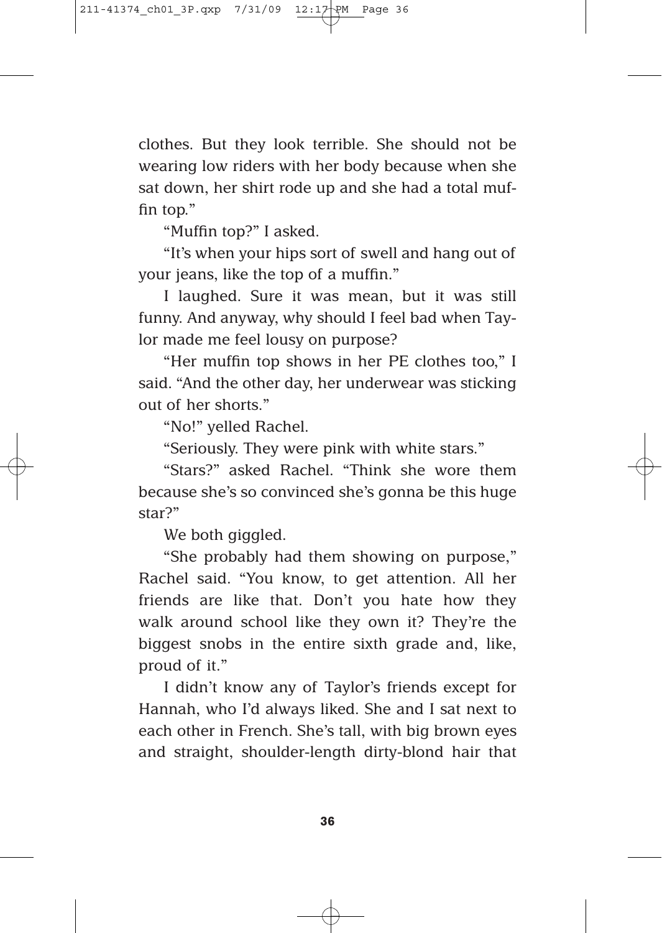clothes. But they look terrible. She should not be wearing low riders with her body because when she sat down, her shirt rode up and she had a total muffin top."

"Muffin top?" I asked.

"It's when your hips sort of swell and hang out of your jeans, like the top of a muffin."

I laughed. Sure it was mean, but it was still funny. And anyway, why should I feel bad when Taylor made me feel lousy on purpose?

"Her muffin top shows in her PE clothes too," I said. "And the other day, her underwear was sticking out of her shorts."

"No!" yelled Rachel.

"Seriously. They were pink with white stars."

"Stars?" asked Rachel. "Think she wore them because she's so convinced she's gonna be this huge star?"

We both giggled.

"She probably had them showing on purpose," Rachel said. "You know, to get attention. All her friends are like that. Don't you hate how they walk around school like they own it? They're the biggest snobs in the entire sixth grade and, like, proud of it."

I didn't know any of Taylor's friends except for Hannah, who I'd always liked. She and I sat next to each other in French. She's tall, with big brown eyes and straight, shoulder-length dirty-blond hair that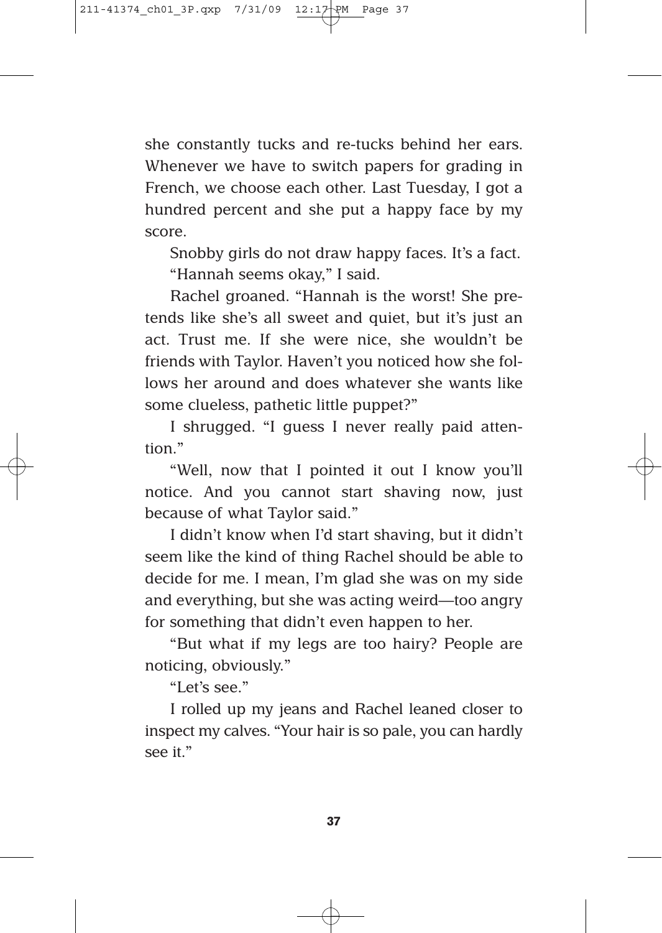she constantly tucks and re-tucks behind her ears. Whenever we have to switch papers for grading in French, we choose each other. Last Tuesday, I got a hundred percent and she put a happy face by my score.

Snobby girls do not draw happy faces. It's a fact. "Hannah seems okay," I said.

Rachel groaned. "Hannah is the worst! She pretends like she's all sweet and quiet, but it's just an act. Trust me. If she were nice, she wouldn't be friends with Taylor. Haven't you noticed how she follows her around and does whatever she wants like some clueless, pathetic little puppet?"

I shrugged. "I guess I never really paid atten $t$ ion $"$ 

"Well, now that I pointed it out I know you'll notice. And you cannot start shaving now, just because of what Taylor said."

I didn't know when I'd start shaving, but it didn't seem like the kind of thing Rachel should be able to decide for me. I mean, I'm glad she was on my side and everything, but she was acting weird— too angry for something that didn't even happen to her.

"But what if my legs are too hairy? People are noticing, obviously."

"Let's see."

I rolled up my jeans and Rachel leaned closer to inspect my calves. "Your hair is so pale, you can hardly see it."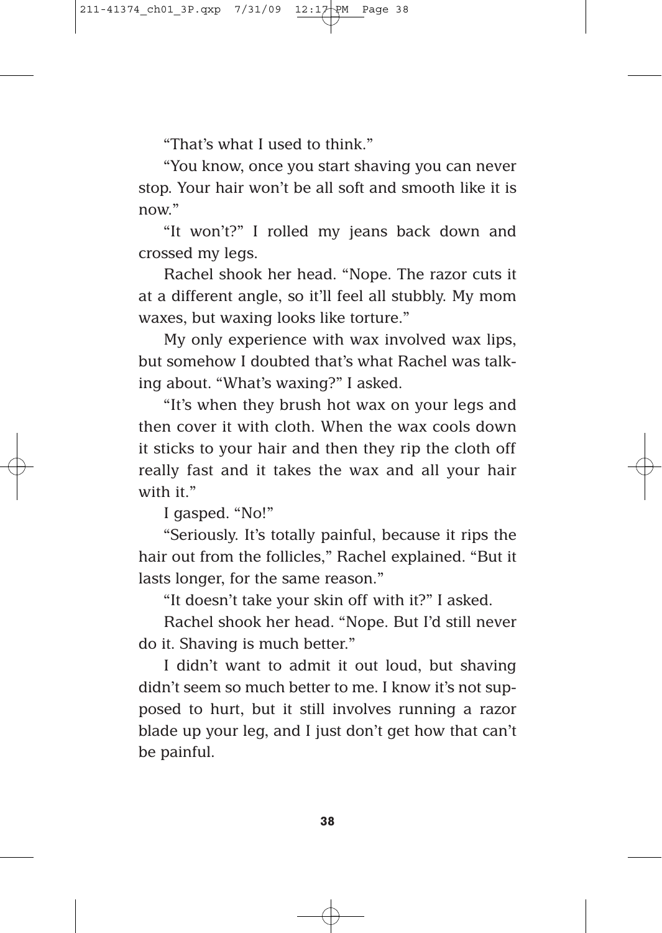"That's what I used to think."

"You know, once you start shaving you can never stop. Your hair won't be all soft and smooth like it is now."

"It won't?" I rolled my jeans back down and crossed my legs.

Rachel shook her head. "Nope. The razor cuts it at a different angle, so it'll feel all stubbly. My mom waxes, but waxing looks like torture."

My only experience with wax involved wax lips, but somehow I doubted that's what Rachel was talking about. "What's waxing?" I asked.

"It's when they brush hot wax on your legs and then cover it with cloth. When the wax cools down it sticks to your hair and then they rip the cloth off really fast and it takes the wax and all your hair with it."

I gasped. "No!"

"Seriously. It's totally painful, because it rips the hair out from the follicles," Rachel explained. "But it lasts longer, for the same reason."

"It doesn't take your skin off with it?" I asked.

Rachel shook her head. "Nope. But I'd still never do it. Shaving is much better."

I didn't want to admit it out loud, but shaving didn't seem so much better to me. I know it's not supposed to hurt, but it still involves running a razor blade up your leg, and I just don't get how that can't be painful.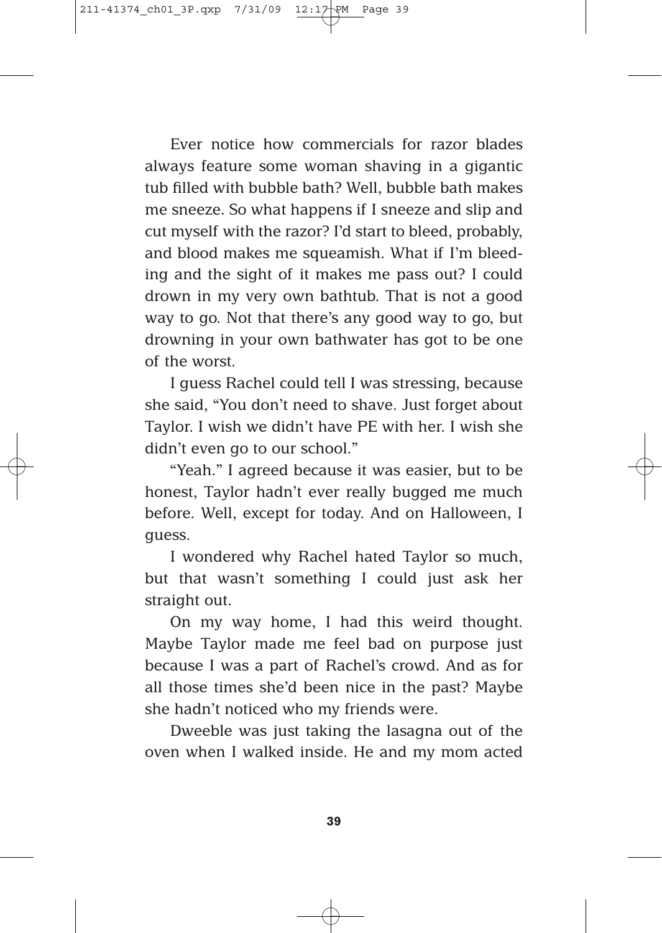Ever notice how commercials for razor blades always feature some woman shaving in a gigantic tub filled with bubble bath? Well, bubble bath makes me sneeze. So what happens if I sneeze and slip and cut myself with the razor? I'd start to bleed, probably, and blood makes me squeamish. What if I'm bleeding and the sight of it makes me pass out? I could drown in my very own bathtub. That is not a good way to go. Not that there's any good way to go, but drowning in your own bathwater has got to be one of the worst.

I guess Rachel could tell I was stressing, because she said, "You don't need to shave. Just forget about Taylor. I wish we didn't have PE with her. I wish she didn't even go to our school."

"Yeah." I agreed because it was easier, but to be honest, Taylor hadn't ever really bugged me much before. Well, except for today. And on Halloween, I guess.

I wondered why Rachel hated Taylor so much, but that wasn't something I could just ask her straight out.

On my way home, I had this weird thought. Maybe Taylor made me feel bad on purpose just because I was a part of Rachel's crowd. And as for all those times she'd been nice in the past? Maybe she hadn't noticed who my friends were.

Dweeble was just taking the lasagna out of the oven when I walked inside. He and my mom acted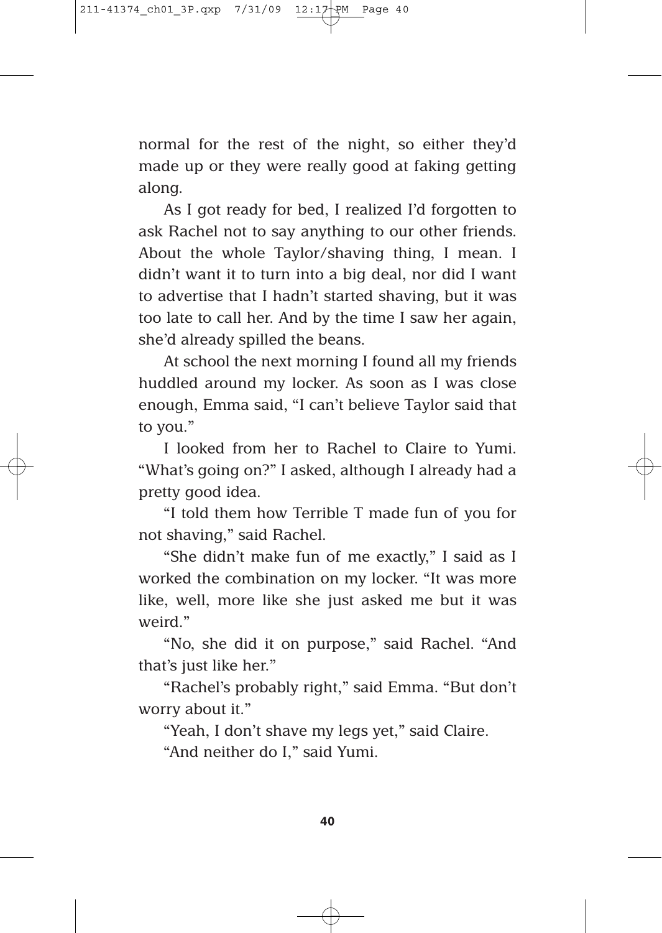normal for the rest of the night, so either they'd made up or they were really good at faking getting along.

As I got ready for bed, I realized I'd forgotten to ask Rachel not to say anything to our other friends. About the whole Taylor/shaving thing, I mean. I didn't want it to turn into a big deal, nor did I want to advertise that I hadn't started shaving, but it was too late to call her. And by the time I saw her again, she'd already spilled the beans.

At school the next morning I found all my friends huddled around my locker. As soon as I was close enough, Emma said, "I can't believe Taylor said that to you."

I looked from her to Rachel to Claire to Yumi. "What's going on?" I asked, although I already had a pretty good idea.

"I told them how Terrible T made fun of you for not shaving," said Rachel.

"She didn't make fun of me exactly," I said as I worked the combination on my locker. "It was more like, well, more like she just asked me but it was weird."

"No, she did it on purpose," said Rachel. "And that's just like her."

"Rachel's probably right," said Emma. "But don't worry about it."

"Yeah, I don't shave my legs yet," said Claire.

"And neither do I," said Yumi.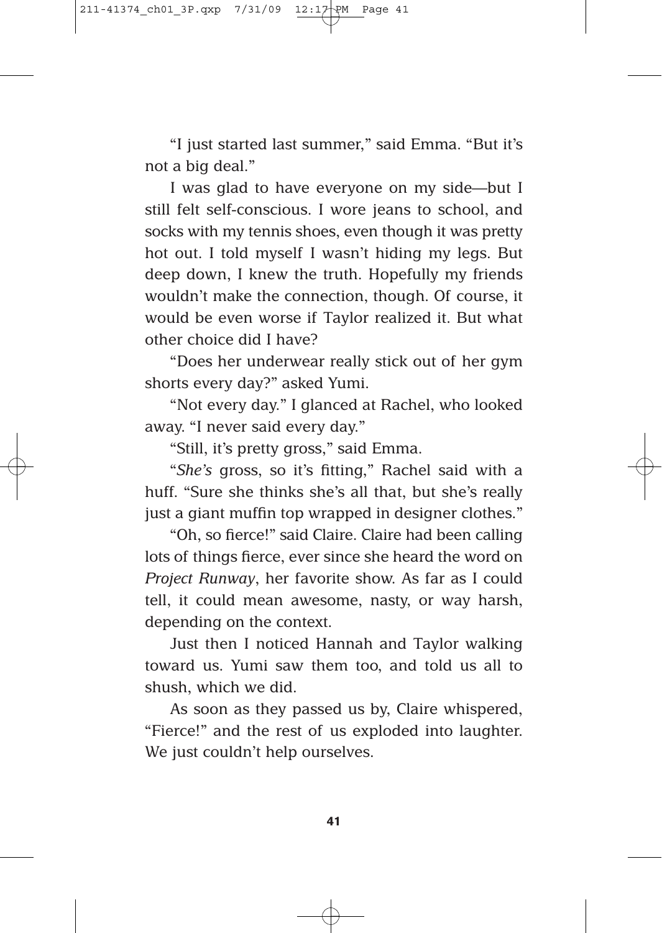"I just started last summer," said Emma. "But it's not a big deal."

I was glad to have everyone on my side—but I still felt self-conscious. I wore jeans to school, and socks with my tennis shoes, even though it was pretty hot out. I told myself I wasn't hiding my legs. But deep down, I knew the truth. Hopefully my friends wouldn't make the connection, though. Of course, it would be even worse if Taylor realized it. But what other choice did I have?

"Does her underwear really stick out of her gym shorts every day?" asked Yumi.

"Not every day." I glanced at Rachel, who looked away. "I never said every day."

"Still, it's pretty gross," said Emma.

"*She's* gross, so it's fitting," Rachel said with a huff. "Sure she thinks she's all that, but she's really just a giant muffin top wrapped in designer clothes."

"Oh, so fierce!" said Claire. Claire had been calling lots of things fierce, ever since she heard the word on *Project Runway*, her favorite show. As far as I could tell, it could mean awesome, nasty, or way harsh, depending on the context.

Just then I noticed Hannah and Taylor walking toward us. Yumi saw them too, and told us all to shush, which we did.

As soon as they passed us by, Claire whispered, "Fierce!" and the rest of us exploded into laughter. We just couldn't help ourselves.

**41**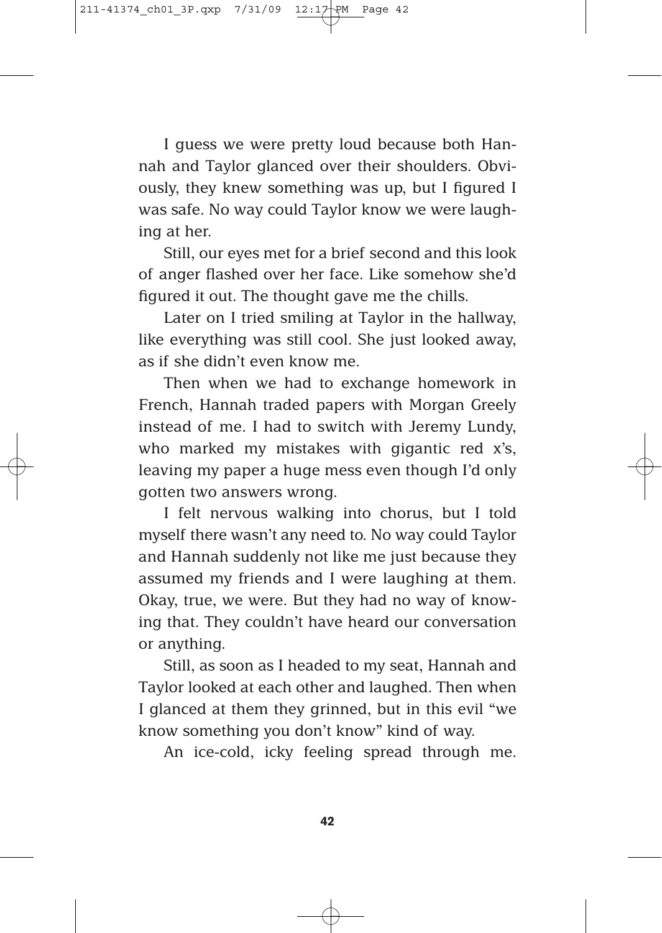I guess we were pretty loud because both Hannah and Taylor glanced over their shoulders. Obviously, they knew something was up, but I figured I was safe. No way could Taylor know we were laughing at her.

Still, our eyes met for a brief second and this look of anger flashed over her face. Like somehow she'd figured it out. The thought gave me the chills.

Later on I tried smiling at Taylor in the hallway, like everything was still cool. She just looked away, as if she didn't even know me.

Then when we had to exchange homework in French, Hannah traded papers with Morgan Greely instead of me. I had to switch with Jeremy Lundy, who marked my mistakes with gigantic red x's, leaving my paper a huge mess even though I'd only gotten two answers wrong.

I felt nervous walking into chorus, but I told myself there wasn't any need to. No way could Taylor and Hannah suddenly not like me just because they assumed my friends and I were laughing at them. Okay, true, we were. But they had no way of knowing that. They couldn't have heard our conversation or anything.

Still, as soon as I headed to my seat, Hannah and Taylor looked at each other and laughed. Then when I glanced at them they grinned, but in this evil "we know something you don't know" kind of way.

An ice-cold, icky feeling spread through me.